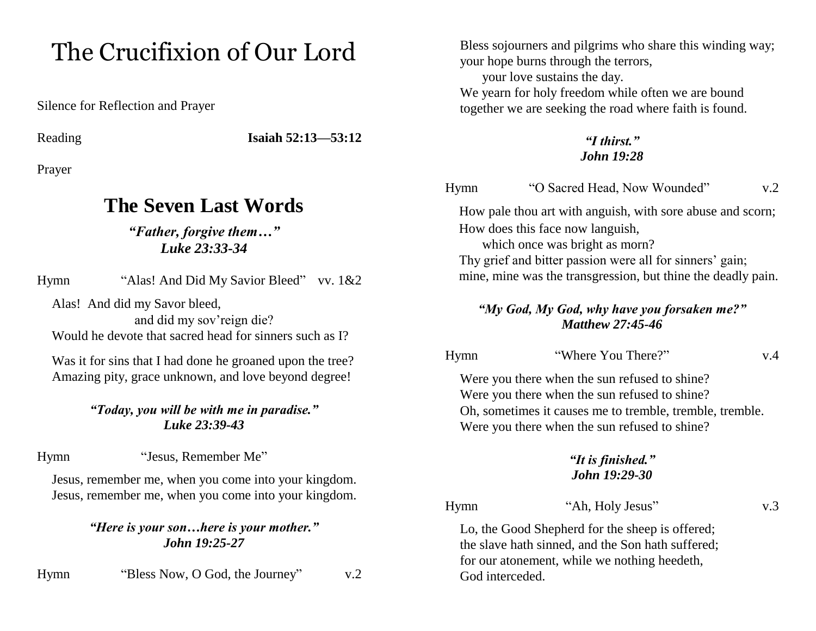## The Crucifixion of Our Lord

Silence for Reflection and Prayer

Reading **Isaiah 52:13—53:12**

Prayer

### **The Seven Last Words**

#### *"Father, forgive them…" Luke 23:33-34*

Hymn "Alas! And Did My Savior Bleed" vv. 1&2

Alas! And did my Savor bleed,

and did my sov'reign die? Would he devote that sacred head for sinners such as I?

Was it for sins that I had done he groaned upon the tree? Amazing pity, grace unknown, and love beyond degree!

#### *"Today, you will be with me in paradise." Luke 23:39-43*

Hymn "Jesus, Remember Me"

Jesus, remember me, when you come into your kingdom. Jesus, remember me, when you come into your kingdom.

> *"Here is your son…here is your mother." John 19:25-27*

Hymn "Bless Now, O God, the Journey" v.2

Bless sojourners and pilgrims who share this winding way; your hope burns through the terrors,

your love sustains the day.

We yearn for holy freedom while often we are bound together we are seeking the road where faith is found.

#### *"I thirst." John 19:28*

Hymn "O Sacred Head, Now Wounded" v.2

How pale thou art with anguish, with sore abuse and scorn; How does this face now languish,

which once was bright as morn? Thy grief and bitter passion were all for sinners' gain; mine, mine was the transgression, but thine the deadly pain.

#### *"My God, My God, why have you forsaken me?" Matthew 27:45-46*

Hymn "Where You There?" v.4

Were you there when the sun refused to shine? Were you there when the sun refused to shine? Oh, sometimes it causes me to tremble, tremble, tremble. Were you there when the sun refused to shine?

#### *"It is finished." John 19:29-30*

Hymn "Ah, Holy Jesus" v.3

Lo, the Good Shepherd for the sheep is offered; the slave hath sinned, and the Son hath suffered; for our atonement, while we nothing heedeth, God interceded.